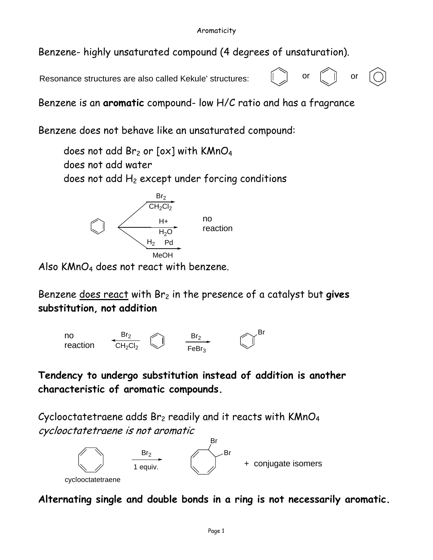Benzene- highly unsaturated compound (4 degrees of unsaturation).

Resonance structures are also called Kekule' structures:  $\begin{bmatrix} 0 & 0 \\ 0 & 0 \end{bmatrix}$  or  $\begin{bmatrix} 0 & 0 \\ 0 & 0 \end{bmatrix}$  or



Benzene is an **aromatic** compound- low H/C ratio and has a fragrance

Benzene does not behave like an unsaturated compound:

does not add  $Br<sub>2</sub>$  or [ox] with KMnO<sub>4</sub> does not add water does not add  $H_2$  except under forcing conditions



Also  $KMnO_4$  does not react with benzene.

Benzene does react with Br<sub>2</sub> in the presence of a catalyst but gives **substitution, not addition**



**Tendency to undergo substitution instead of addition is another characteristic of aromatic compounds.** 

Cyclooctatetraene adds  $Br<sub>2</sub>$  readily and it reacts with KMnO<sub>4</sub> cyclooctatetraene is not aromatic



**Alternating single and double bonds in a ring is not necessarily aromatic.**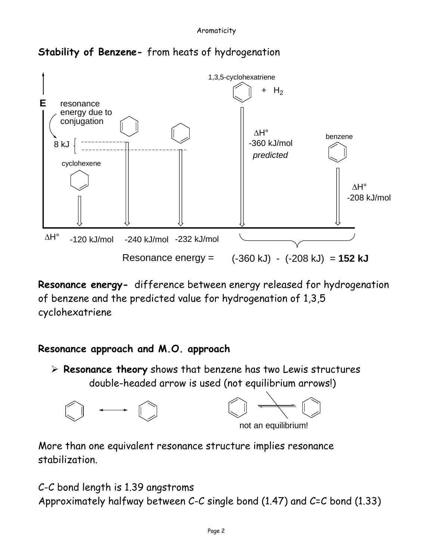

# **Stability of Benzene-** from heats of hydrogenation

**Resonance energy-** difference between energy released for hydrogenation of benzene and the predicted value for hydrogenation of 1,3,5 cyclohexatriene

# **Resonance approach and M.O. approach**

¾ **Resonance theory** shows that benzene has two Lewis structures double-headed arrow is used (not equilibrium arrows!)



More than one equivalent resonance structure implies resonance stabilization.

C-C bond length is 1.39 angstroms Approximately halfway between C-C single bond (1.47) and C=C bond (1.33)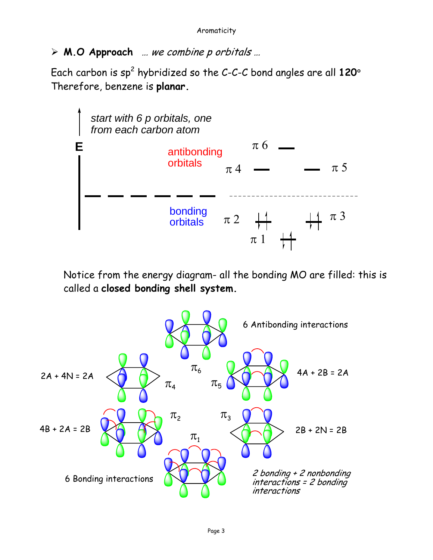¾ **M.O Approach** … we combine p orbitals …

Each carbon is  $sp^2$  hybridized so the C-C-C bond angles are all  $120^\circ$ Therefore, benzene is **planar.** 



Notice from the energy diagram- all the bonding MO are filled: this is called a **closed bonding shell system.**

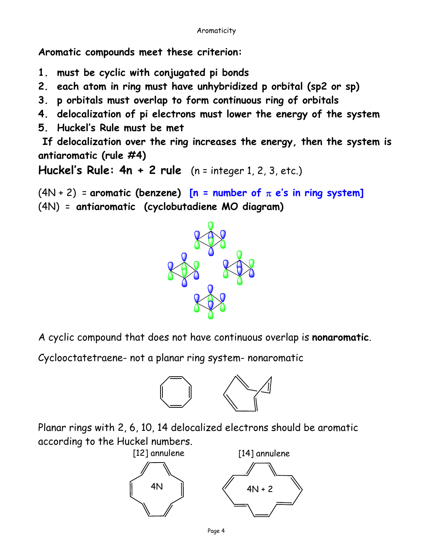**Aromatic compounds meet these criterion:** 

- **1. must be cyclic with conjugated pi bonds**
- **2. each atom in ring must have unhybridized p orbital (sp2 or sp)**
- **3. p orbitals must overlap to form continuous ring of orbitals**
- **4. delocalization of pi electrons must lower the energy of the system**
- **5. Huckel's Rule must be met**

 **If delocalization over the ring increases the energy, then the system is antiaromatic (rule #4)** 

**Huckel's Rule: 4n + 2 rule** (n = integer 1, 2, 3, etc.)

(4N + 2) = **aromatic (benzene) [n = number of** π **e's in ring system]** (4N) = **antiaromatic (cyclobutadiene MO diagram)** 



A cyclic compound that does not have continuous overlap is **nonaromatic**.

Cyclooctatetraene- not a planar ring system- nonaromatic



Planar rings with 2, 6, 10, 14 delocalized electrons should be aromatic according to the Huckel numbers.



Page 4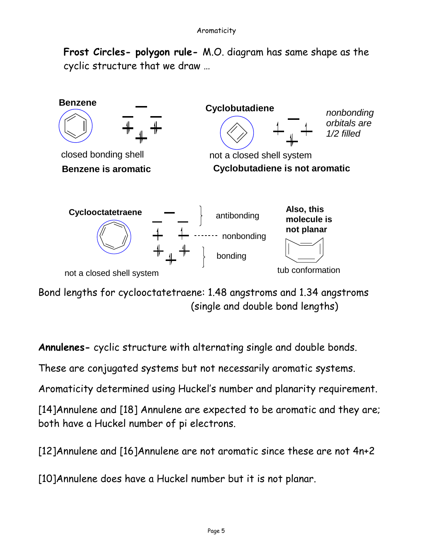**Frost Circles- polygon rule-** M.O. diagram has same shape as the cyclic structure that we draw …



Bond lengths for cyclooctatetraene: 1.48 angstroms and 1.34 angstroms (single and double bond lengths)

**Annulenes-** cyclic structure with alternating single and double bonds.

These are conjugated systems but not necessarily aromatic systems.

Aromaticity determined using Huckel's number and planarity requirement.

[14]Annulene and [18] Annulene are expected to be aromatic and they are; both have a Huckel number of pi electrons.

[12]Annulene and [16]Annulene are not aromatic since these are not 4n+2

[10]Annulene does have a Huckel number but it is not planar.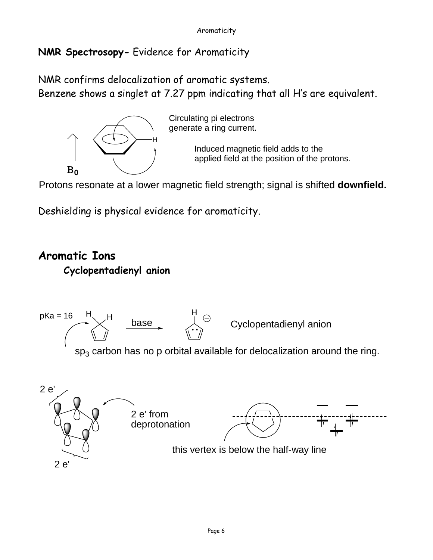## **NMR Spectrosopy-** Evidence for Aromaticity

NMR confirms delocalization of aromatic systems. Benzene shows a singlet at 7.27 ppm indicating that all H's are equivalent.



Circulating pi electrons generate a ring current.

> Induced magnetic field adds to the applied field at the position of the protons.

Protons resonate at a lower magnetic field strength; signal is shifted **downfield.**

Deshielding is physical evidence for aromaticity.

# **Aromatic Ions Cyclopentadienyl anion**

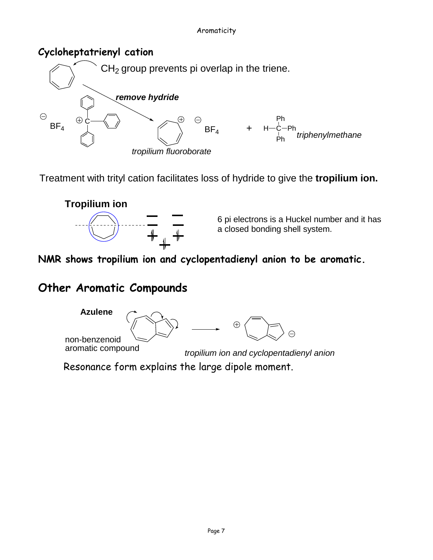#### Aromaticity

### **Cycloheptatrienyl cation**



Treatment with trityl cation facilitates loss of hydride to give the **tropilium ion.**



6 pi electrons is a Huckel number and it has a closed bonding shell system.

**NMR shows tropilium ion and cyclopentadienyl anion to be aromatic.** 

## **Other Aromatic Compounds**



*tropilium ion and cyclopentadienyl anion*

Resonance form explains the large dipole moment.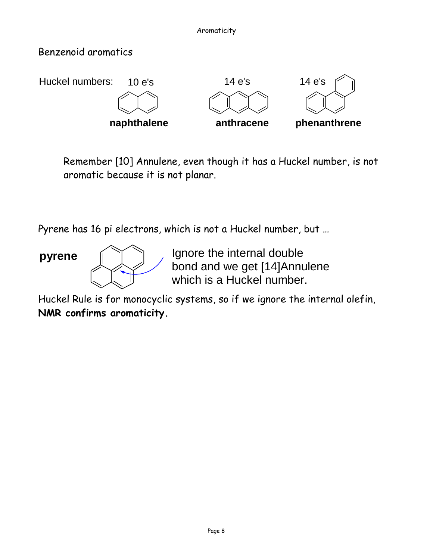## Benzenoid aromatics



Remember [10] Annulene, even though it has a Huckel number, is not aromatic because it is not planar.

Pyrene has 16 pi electrons, which is not a Huckel number, but …



**pyrene** III Junore the internal double bond and we get [14]Annulene which is a Huckel number.

Huckel Rule is for monocyclic systems, so if we ignore the internal olefin, **NMR confirms aromaticity.**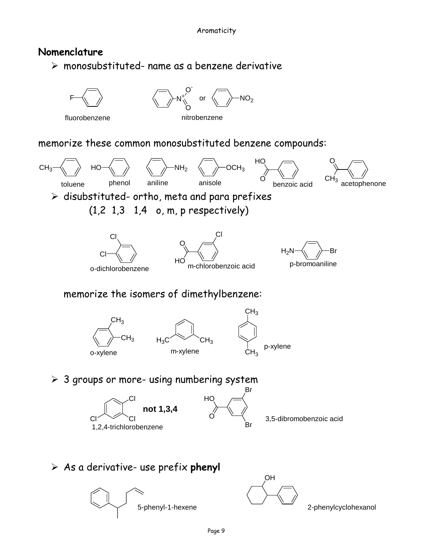### **Nomenclature**

 $\triangleright$  monosubstituted- name as a benzene derivative